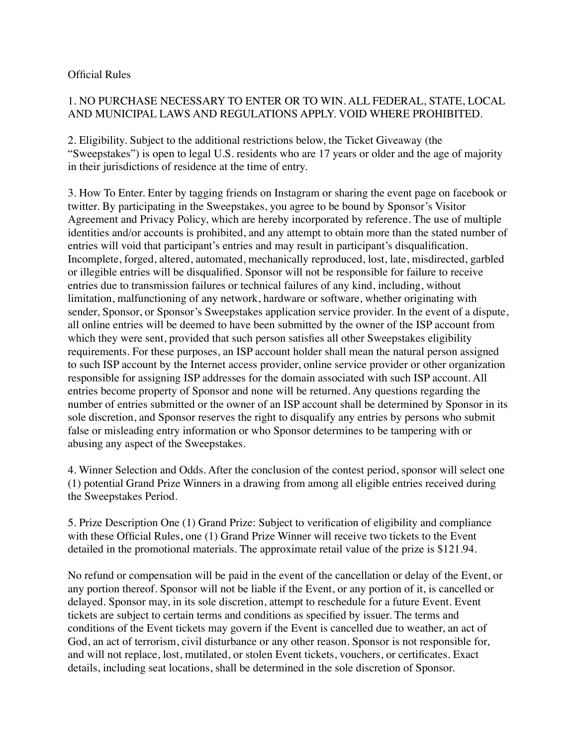## Official Rules

## 1. NO PURCHASE NECESSARY TO ENTER OR TO WIN. ALL FEDERAL, STATE, LOCAL AND MUNICIPAL LAWS AND REGULATIONS APPLY. VOID WHERE PROHIBITED.

2. Eligibility. Subject to the additional restrictions below, the Ticket Giveaway (the "Sweepstakes") is open to legal U.S. residents who are 17 years or older and the age of majority in their jurisdictions of residence at the time of entry.

3. How To Enter. Enter by tagging friends on Instagram or sharing the event page on facebook or twitter. By participating in the Sweepstakes, you agree to be bound by Sponsor's Visitor Agreement and Privacy Policy, which are hereby incorporated by reference. The use of multiple identities and/or accounts is prohibited, and any attempt to obtain more than the stated number of entries will void that participant's entries and may result in participant's disqualification. Incomplete, forged, altered, automated, mechanically reproduced, lost, late, misdirected, garbled or illegible entries will be disqualified. Sponsor will not be responsible for failure to receive entries due to transmission failures or technical failures of any kind, including, without limitation, malfunctioning of any network, hardware or software, whether originating with sender, Sponsor, or Sponsor's Sweepstakes application service provider. In the event of a dispute, all online entries will be deemed to have been submitted by the owner of the ISP account from which they were sent, provided that such person satisfies all other Sweepstakes eligibility requirements. For these purposes, an ISP account holder shall mean the natural person assigned to such ISP account by the Internet access provider, online service provider or other organization responsible for assigning ISP addresses for the domain associated with such ISP account. All entries become property of Sponsor and none will be returned. Any questions regarding the number of entries submitted or the owner of an ISP account shall be determined by Sponsor in its sole discretion, and Sponsor reserves the right to disqualify any entries by persons who submit false or misleading entry information or who Sponsor determines to be tampering with or abusing any aspect of the Sweepstakes.

4. Winner Selection and Odds. After the conclusion of the contest period, sponsor will select one (1) potential Grand Prize Winners in a drawing from among all eligible entries received during the Sweepstakes Period.

5. Prize Description One (1) Grand Prize: Subject to verification of eligibility and compliance with these Official Rules, one (1) Grand Prize Winner will receive two tickets to the Event detailed in the promotional materials. The approximate retail value of the prize is \$121.94.

No refund or compensation will be paid in the event of the cancellation or delay of the Event, or any portion thereof. Sponsor will not be liable if the Event, or any portion of it, is cancelled or delayed. Sponsor may, in its sole discretion, attempt to reschedule for a future Event. Event tickets are subject to certain terms and conditions as specified by issuer. The terms and conditions of the Event tickets may govern if the Event is cancelled due to weather, an act of God, an act of terrorism, civil disturbance or any other reason. Sponsor is not responsible for, and will not replace, lost, mutilated, or stolen Event tickets, vouchers, or certificates. Exact details, including seat locations, shall be determined in the sole discretion of Sponsor.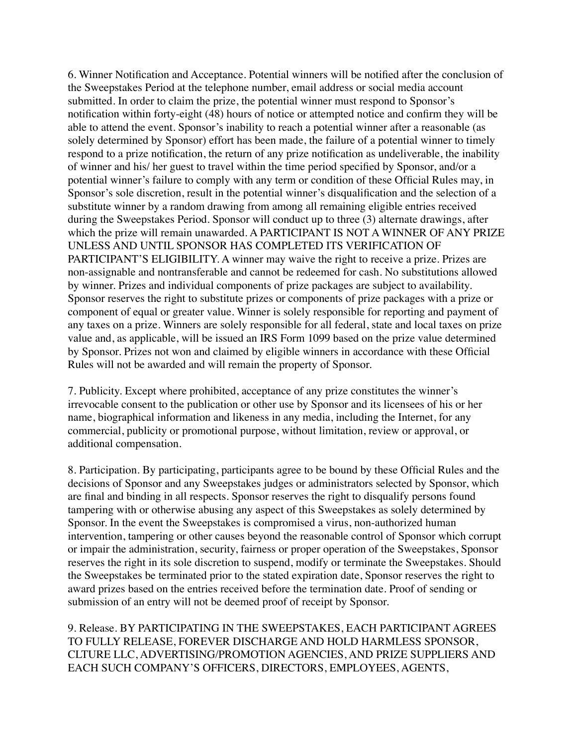6. Winner Notification and Acceptance. Potential winners will be notified after the conclusion of the Sweepstakes Period at the telephone number, email address or social media account submitted. In order to claim the prize, the potential winner must respond to Sponsor's notification within forty-eight (48) hours of notice or attempted notice and confirm they will be able to attend the event. Sponsor's inability to reach a potential winner after a reasonable (as solely determined by Sponsor) effort has been made, the failure of a potential winner to timely respond to a prize notification, the return of any prize notification as undeliverable, the inability of winner and his/ her guest to travel within the time period specified by Sponsor, and/or a potential winner's failure to comply with any term or condition of these Official Rules may, in Sponsor's sole discretion, result in the potential winner's disqualification and the selection of a substitute winner by a random drawing from among all remaining eligible entries received during the Sweepstakes Period. Sponsor will conduct up to three (3) alternate drawings, after which the prize will remain unawarded. A PARTICIPANT IS NOT A WINNER OF ANY PRIZE UNLESS AND UNTIL SPONSOR HAS COMPLETED ITS VERIFICATION OF PARTICIPANT'S ELIGIBILITY. A winner may waive the right to receive a prize. Prizes are non-assignable and nontransferable and cannot be redeemed for cash. No substitutions allowed by winner. Prizes and individual components of prize packages are subject to availability. Sponsor reserves the right to substitute prizes or components of prize packages with a prize or component of equal or greater value. Winner is solely responsible for reporting and payment of any taxes on a prize. Winners are solely responsible for all federal, state and local taxes on prize value and, as applicable, will be issued an IRS Form 1099 based on the prize value determined by Sponsor. Prizes not won and claimed by eligible winners in accordance with these Official Rules will not be awarded and will remain the property of Sponsor.

7. Publicity. Except where prohibited, acceptance of any prize constitutes the winner's irrevocable consent to the publication or other use by Sponsor and its licensees of his or her name, biographical information and likeness in any media, including the Internet, for any commercial, publicity or promotional purpose, without limitation, review or approval, or additional compensation.

8. Participation. By participating, participants agree to be bound by these Official Rules and the decisions of Sponsor and any Sweepstakes judges or administrators selected by Sponsor, which are final and binding in all respects. Sponsor reserves the right to disqualify persons found tampering with or otherwise abusing any aspect of this Sweepstakes as solely determined by Sponsor. In the event the Sweepstakes is compromised a virus, non-authorized human intervention, tampering or other causes beyond the reasonable control of Sponsor which corrupt or impair the administration, security, fairness or proper operation of the Sweepstakes, Sponsor reserves the right in its sole discretion to suspend, modify or terminate the Sweepstakes. Should the Sweepstakes be terminated prior to the stated expiration date, Sponsor reserves the right to award prizes based on the entries received before the termination date. Proof of sending or submission of an entry will not be deemed proof of receipt by Sponsor.

9. Release. BY PARTICIPATING IN THE SWEEPSTAKES, EACH PARTICIPANT AGREES TO FULLY RELEASE, FOREVER DISCHARGE AND HOLD HARMLESS SPONSOR, CLTURE LLC, ADVERTISING/PROMOTION AGENCIES, AND PRIZE SUPPLIERS AND EACH SUCH COMPANY'S OFFICERS, DIRECTORS, EMPLOYEES, AGENTS,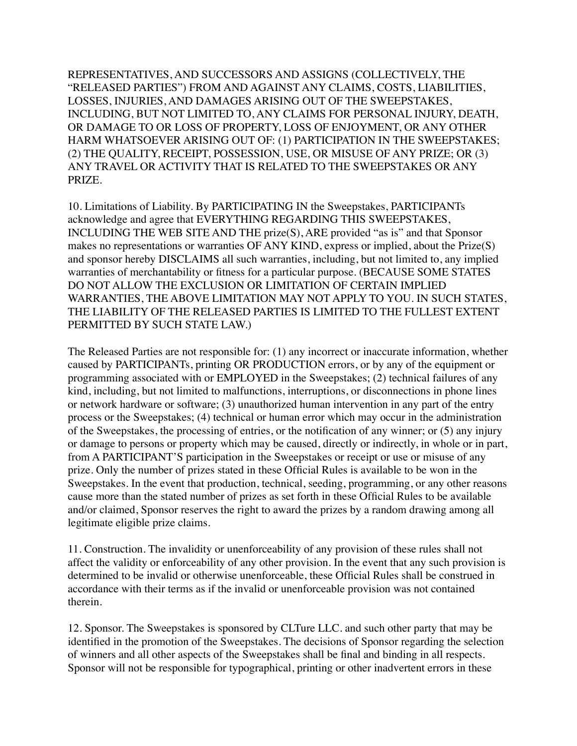REPRESENTATIVES, AND SUCCESSORS AND ASSIGNS (COLLECTIVELY, THE "RELEASED PARTIES") FROM AND AGAINST ANY CLAIMS, COSTS, LIABILITIES, LOSSES, INJURIES, AND DAMAGES ARISING OUT OF THE SWEEPSTAKES, INCLUDING, BUT NOT LIMITED TO, ANY CLAIMS FOR PERSONAL INJURY, DEATH, OR DAMAGE TO OR LOSS OF PROPERTY, LOSS OF ENJOYMENT, OR ANY OTHER HARM WHATSOEVER ARISING OUT OF: (1) PARTICIPATION IN THE SWEEPSTAKES; (2) THE QUALITY, RECEIPT, POSSESSION, USE, OR MISUSE OF ANY PRIZE; OR (3) ANY TRAVEL OR ACTIVITY THAT IS RELATED TO THE SWEEPSTAKES OR ANY PRIZE.

10. Limitations of Liability. By PARTICIPATING IN the Sweepstakes, PARTICIPANTs acknowledge and agree that EVERYTHING REGARDING THIS SWEEPSTAKES, INCLUDING THE WEB SITE AND THE prize(S), ARE provided "as is" and that Sponsor makes no representations or warranties OF ANY KIND, express or implied, about the Prize(S) and sponsor hereby DISCLAIMS all such warranties, including, but not limited to, any implied warranties of merchantability or fitness for a particular purpose. (BECAUSE SOME STATES DO NOT ALLOW THE EXCLUSION OR LIMITATION OF CERTAIN IMPLIED WARRANTIES, THE ABOVE LIMITATION MAY NOT APPLY TO YOU. IN SUCH STATES, THE LIABILITY OF THE RELEASED PARTIES IS LIMITED TO THE FULLEST EXTENT PERMITTED BY SUCH STATE LAW.)

The Released Parties are not responsible for: (1) any incorrect or inaccurate information, whether caused by PARTICIPANTs, printing OR PRODUCTION errors, or by any of the equipment or programming associated with or EMPLOYED in the Sweepstakes; (2) technical failures of any kind, including, but not limited to malfunctions, interruptions, or disconnections in phone lines or network hardware or software; (3) unauthorized human intervention in any part of the entry process or the Sweepstakes; (4) technical or human error which may occur in the administration of the Sweepstakes, the processing of entries, or the notification of any winner; or (5) any injury or damage to persons or property which may be caused, directly or indirectly, in whole or in part, from A PARTICIPANT'S participation in the Sweepstakes or receipt or use or misuse of any prize. Only the number of prizes stated in these Official Rules is available to be won in the Sweepstakes. In the event that production, technical, seeding, programming, or any other reasons cause more than the stated number of prizes as set forth in these Official Rules to be available and/or claimed, Sponsor reserves the right to award the prizes by a random drawing among all legitimate eligible prize claims.

11. Construction. The invalidity or unenforceability of any provision of these rules shall not affect the validity or enforceability of any other provision. In the event that any such provision is determined to be invalid or otherwise unenforceable, these Official Rules shall be construed in accordance with their terms as if the invalid or unenforceable provision was not contained therein.

12. Sponsor. The Sweepstakes is sponsored by CLTure LLC. and such other party that may be identified in the promotion of the Sweepstakes. The decisions of Sponsor regarding the selection of winners and all other aspects of the Sweepstakes shall be final and binding in all respects. Sponsor will not be responsible for typographical, printing or other inadvertent errors in these